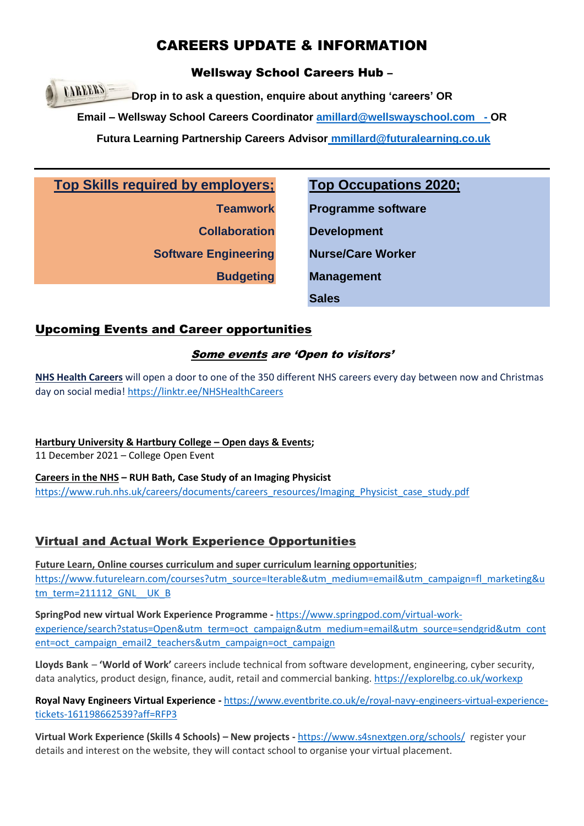# CAREERS UPDATE & INFORMATION

Wellsway School Careers Hub –

**CAREERS Drop in to ask a question, enquire about anything 'careers' OR Email – Wellsway School Careers Coordinator [amillard@wellswayschool.com](mailto:amillard@wellswayschool.com) - OR Futura Learning Partnership Careers Advisor [mmillard@futuralearning.co.uk](mailto:mmillard@futuralearning.co.uk)**

**Top Skills required by employers;**

**Teamwork Collaboration Software Engineering**

**Budgeting**

**Top Occupations 2020;**

**Programme software Development Nurse/Care Worker Management Sales**

## Upcoming Events and Career opportunities

## Some events are 'Open to visitors'

**NHS Health Careers** will open a door to one of the 350 different NHS careers every day between now and Christmas day on social media! <https://linktr.ee/NHSHealthCareers>

**Hartbury University & Hartbury College – Open days & Events;** 

11 December 2021 – College Open Event

**Careers in the NHS – RUH Bath, Case Study of an Imaging Physicist** [https://www.ruh.nhs.uk/careers/documents/careers\\_resources/Imaging\\_Physicist\\_case\\_study.pdf](https://www.ruh.nhs.uk/careers/documents/careers_resources/Imaging_Physicist_case_study.pdf)

## Virtual and Actual Work Experience Opportunities

**Future Learn, Online courses curriculum and super curriculum learning opportunities**; [https://www.futurelearn.com/courses?utm\\_source=Iterable&utm\\_medium=email&utm\\_campaign=fl\\_marketing&u](https://www.futurelearn.com/courses?utm_source=Iterable&utm_medium=email&utm_campaign=fl_marketing&utm_term=211112_GNL__UK_B) [tm\\_term=211112\\_GNL\\_\\_UK\\_B](https://www.futurelearn.com/courses?utm_source=Iterable&utm_medium=email&utm_campaign=fl_marketing&utm_term=211112_GNL__UK_B)

**SpringPod new virtual Work Experience Programme -** [https://www.springpod.com/virtual-work](https://www.springpod.com/virtual-work-experience/search?status=Open&utm_term=oct_campaign&utm_medium=email&utm_source=sendgrid&utm_content=oct_campaign_email2_teachers&utm_campaign=oct_campaign)[experience/search?status=Open&utm\\_term=oct\\_campaign&utm\\_medium=email&utm\\_source=sendgrid&utm\\_cont](https://www.springpod.com/virtual-work-experience/search?status=Open&utm_term=oct_campaign&utm_medium=email&utm_source=sendgrid&utm_content=oct_campaign_email2_teachers&utm_campaign=oct_campaign) [ent=oct\\_campaign\\_email2\\_teachers&utm\\_campaign=oct\\_campaign](https://www.springpod.com/virtual-work-experience/search?status=Open&utm_term=oct_campaign&utm_medium=email&utm_source=sendgrid&utm_content=oct_campaign_email2_teachers&utm_campaign=oct_campaign)

**Lloyds Bank** – **'World of Work'** careers include technical from software development, engineering, cyber security, data analytics, product design, finance, audit, retail and commercial banking. <https://explorelbg.co.uk/workexp>

**Royal Navy Engineers Virtual Experience -** [https://www.eventbrite.co.uk/e/royal-navy-engineers-virtual-experience](https://www.eventbrite.co.uk/e/royal-navy-engineers-virtual-experience-tickets-161198662539?aff=RFP3)[tickets-161198662539?aff=RFP3](https://www.eventbrite.co.uk/e/royal-navy-engineers-virtual-experience-tickets-161198662539?aff=RFP3)

**Virtual Work Experience (Skills 4 Schools) – New projects -** <https://www.s4snextgen.org/schools/>register your details and interest on the website, they will contact school to organise your virtual placement.